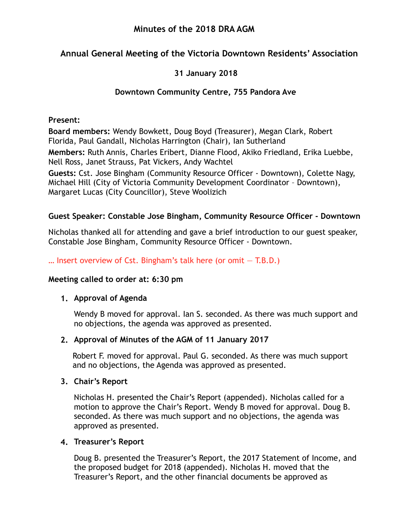## **Minutes of the 2018 DRA AGM**

## **Annual General Meeting of the Victoria Downtown Residents' Association**

## **31 January 2018**

## **Downtown Community Centre, 755 Pandora Ave**

#### **Present:**

**Board members:** Wendy Bowkett, Doug Boyd (Treasurer), Megan Clark, Robert Florida, Paul Gandall, Nicholas Harrington (Chair), Ian Sutherland

**Members:** Ruth Annis, Charles Eribert, Dianne Flood, Akiko Friedland, Erika Luebbe, Nell Ross, Janet Strauss, Pat Vickers, Andy Wachtel

**Guests:** Cst. Jose Bingham (Community Resource Officer - Downtown), Colette Nagy, Michael Hill (City of Victoria Community Development Coordinator – Downtown), Margaret Lucas (City Councillor), Steve Woolizich

### **Guest Speaker: Constable Jose Bingham, Community Resource Officer - Downtown**

Nicholas thanked all for attending and gave a brief introduction to our guest speaker, Constable Jose Bingham, Community Resource Officer - Downtown.

### $\dots$  lnsert overview of Cst. Bingham's talk here (or omit  $-$  T.B.D.)

### **Meeting called to order at: 6:30 pm**

#### **1. Approval of Agenda**

Wendy B moved for approval. Ian S. seconded. As there was much support and no objections, the agenda was approved as presented.

#### **2. Approval of Minutes of the AGM of 11 January 2017**

Robert F. moved for approval. Paul G. seconded. As there was much support and no objections, the Agenda was approved as presented.

#### **3. Chair's Report**

Nicholas H. presented the Chair's Report (appended). Nicholas called for a motion to approve the Chair's Report. Wendy B moved for approval. Doug B. seconded. As there was much support and no objections, the agenda was approved as presented.

#### **4. Treasurer's Report**

Doug B. presented the Treasurer's Report, the 2017 Statement of Income, and the proposed budget for 2018 (appended). Nicholas H. moved that the Treasurer's Report, and the other financial documents be approved as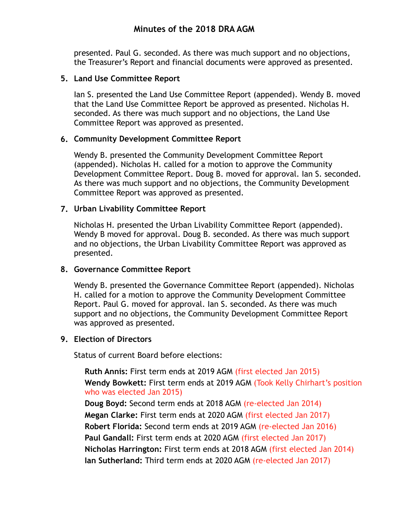## **Minutes of the 2018 DRA AGM**

presented. Paul G. seconded. As there was much support and no objections, the Treasurer's Report and financial documents were approved as presented.

#### **5. Land Use Committee Report**

Ian S. presented the Land Use Committee Report (appended). Wendy B. moved that the Land Use Committee Report be approved as presented. Nicholas H. seconded. As there was much support and no objections, the Land Use Committee Report was approved as presented.

#### **6. Community Development Committee Report**

Wendy B. presented the Community Development Committee Report (appended). Nicholas H. called for a motion to approve the Community Development Committee Report. Doug B. moved for approval. Ian S. seconded. As there was much support and no objections, the Community Development Committee Report was approved as presented.

#### **7. Urban Livability Committee Report**

Nicholas H. presented the Urban Livability Committee Report (appended). Wendy B moved for approval. Doug B. seconded. As there was much support and no objections, the Urban Livability Committee Report was approved as presented.

#### **8. Governance Committee Report**

Wendy B. presented the Governance Committee Report (appended). Nicholas H. called for a motion to approve the Community Development Committee Report. Paul G. moved for approval. Ian S. seconded. As there was much support and no objections, the Community Development Committee Report was approved as presented.

#### **9. Election of Directors**

Status of current Board before elections:

**Ruth Annis:** First term ends at 2019 AGM (first elected Jan 2015) **Wendy Bowkett:** First term ends at 2019 AGM (Took Kelly Chirhart's position who was elected Jan 2015)

**Doug Boyd:** Second term ends at 2018 AGM (re-elected Jan 2014) **Megan Clarke:** First term ends at 2020 AGM (first elected Jan 2017) **Robert Florida:** Second term ends at 2019 AGM (re-elected Jan 2016) **Paul Gandall:** First term ends at 2020 AGM (first elected Jan 2017) **Nicholas Harrington:** First term ends at 2018 AGM (first elected Jan 2014) **Ian Sutherland:** Third term ends at 2020 AGM (re-elected Jan 2017)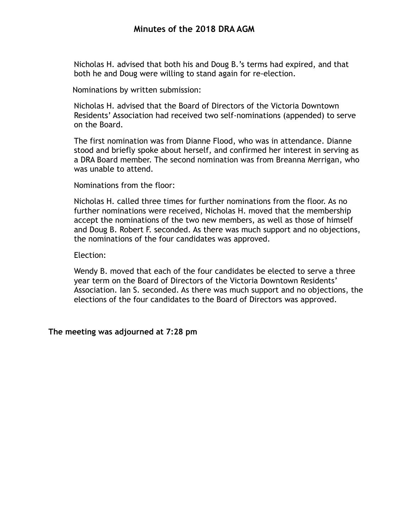Nicholas H. advised that both his and Doug B.'s terms had expired, and that both he and Doug were willing to stand again for re-election.

Nominations by written submission:

Nicholas H. advised that the Board of Directors of the Victoria Downtown Residents' Association had received two self-nominations (appended) to serve on the Board.

The first nomination was from Dianne Flood, who was in attendance. Dianne stood and briefly spoke about herself, and confirmed her interest in serving as a DRA Board member. The second nomination was from Breanna Merrigan, who was unable to attend.

Nominations from the floor:

Nicholas H. called three times for further nominations from the floor. As no further nominations were received, Nicholas H. moved that the membership accept the nominations of the two new members, as well as those of himself and Doug B. Robert F. seconded. As there was much support and no objections, the nominations of the four candidates was approved.

Election:

Wendy B. moved that each of the four candidates be elected to serve a three year term on the Board of Directors of the Victoria Downtown Residents' Association. Ian S. seconded. As there was much support and no objections, the elections of the four candidates to the Board of Directors was approved.

**The meeting was adjourned at 7:28 pm**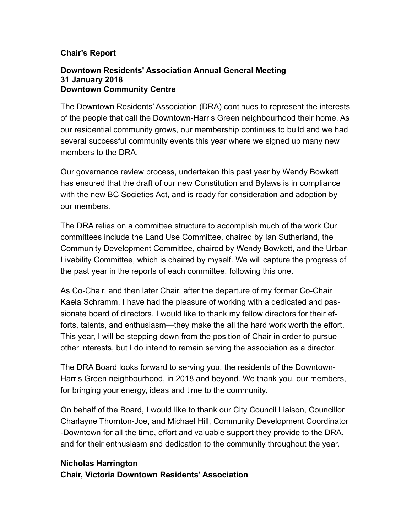## **Chair's Report**

#### **Downtown Residents' Association Annual General Meeting 31 January 2018 Downtown Community Centre**

The Downtown Residents' Association (DRA) continues to represent the interests of the people that call the Downtown-Harris Green neighbourhood their home. As our residential community grows, our membership continues to build and we had several successful community events this year where we signed up many new members to the DRA.

Our governance review process, undertaken this past year by Wendy Bowkett has ensured that the draft of our new Constitution and Bylaws is in compliance with the new BC Societies Act, and is ready for consideration and adoption by our members.

The DRA relies on a committee structure to accomplish much of the work Our committees include the Land Use Committee, chaired by Ian Sutherland, the Community Development Committee, chaired by Wendy Bowkett, and the Urban Livability Committee, which is chaired by myself. We will capture the progress of the past year in the reports of each committee, following this one.

As Co-Chair, and then later Chair, after the departure of my former Co-Chair Kaela Schramm, I have had the pleasure of working with a dedicated and passionate board of directors. I would like to thank my fellow directors for their efforts, talents, and enthusiasm—they make the all the hard work worth the effort. This year, I will be stepping down from the position of Chair in order to pursue other interests, but I do intend to remain serving the association as a director.

The DRA Board looks forward to serving you, the residents of the Downtown-Harris Green neighbourhood, in 2018 and beyond. We thank you, our members, for bringing your energy, ideas and time to the community.

On behalf of the Board, I would like to thank our City Council Liaison, Councillor Charlayne Thornton-Joe, and Michael Hill, Community Development Coordinator -Downtown for all the time, effort and valuable support they provide to the DRA, and for their enthusiasm and dedication to the community throughout the year.

## **Nicholas Harrington Chair, Victoria Downtown Residents' Association**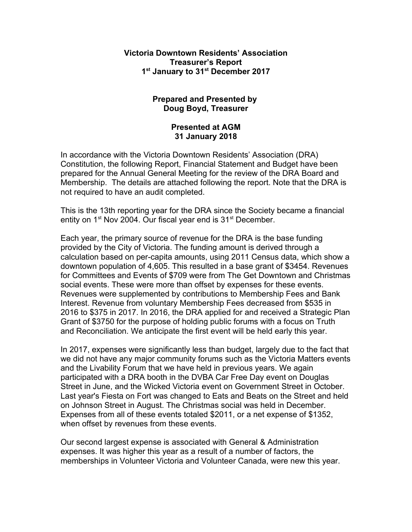#### **Victoria Downtown Residents' Association Treasurer's Report** 1<sup>st</sup> January to 31<sup>st</sup> December 2017

#### **Prepared and Presented by Doug Boyd, Treasurer**

#### **Presented at AGM 31 January 2018**

In accordance with the Victoria Downtown Residents' Association (DRA) Constitution, the following Report, Financial Statement and Budget have been prepared for the Annual General Meeting for the review of the DRA Board and Membership. The details are attached following the report. Note that the DRA is not required to have an audit completed.

This is the 13th reporting year for the DRA since the Society became a financial entity on  $1<sup>st</sup>$  Nov 2004. Our fiscal year end is  $31<sup>st</sup>$  December.

Each year, the primary source of revenue for the DRA is the base funding provided by the City of Victoria. The funding amount is derived through a calculation based on per-capita amounts, using 2011 Census data, which show a downtown population of 4,605. This resulted in a base grant of \$3454. Revenues for Committees and Events of \$709 were from The Get Downtown and Christmas social events. These were more than offset by expenses for these events. Revenues were supplemented by contributions to Membership Fees and Bank Interest. Revenue from voluntary Membership Fees decreased from \$535 in 2016 to \$375 in 2017. In 2016, the DRA applied for and received a Strategic Plan Grant of \$3750 for the purpose of holding public forums with a focus on Truth and Reconciliation. We anticipate the first event will be held early this year.

In 2017, expenses were significantly less than budget, largely due to the fact that we did not have any major community forums such as the Victoria Matters events and the Livability Forum that we have held in previous years. We again participated with a DRA booth in the DVBA Car Free Day event on Douglas Street in June, and the Wicked Victoria event on Government Street in October. Last year's Fiesta on Fort was changed to Eats and Beats on the Street and held on Johnson Street in August. The Christmas social was held in December. Expenses from all of these events totaled \$2011, or a net expense of \$1352, when offset by revenues from these events.

Our second largest expense is associated with General & Administration expenses. It was higher this year as a result of a number of factors, the memberships in Volunteer Victoria and Volunteer Canada, were new this year.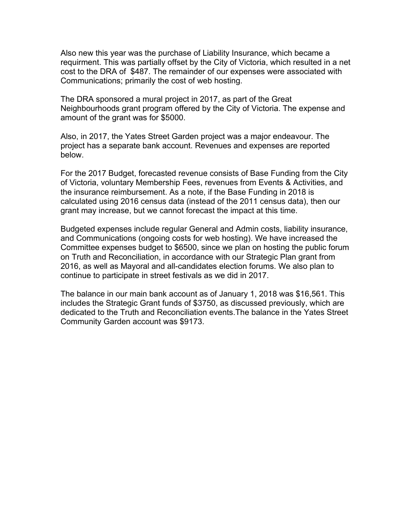Also new this year was the purchase of Liability Insurance, which became a requirment. This was partially offset by the City of Victoria, which resulted in a net cost to the DRA of \$487. The remainder of our expenses were associated with Communications; primarily the cost of web hosting.

The DRA sponsored a mural project in 2017, as part of the Great Neighbourhoods grant program offered by the City of Victoria. The expense and amount of the grant was for \$5000.

Also, in 2017, the Yates Street Garden project was a major endeavour. The project has a separate bank account. Revenues and expenses are reported below.

For the 2017 Budget, forecasted revenue consists of Base Funding from the City of Victoria, voluntary Membership Fees, revenues from Events & Activities, and the insurance reimbursement. As a note, if the Base Funding in 2018 is calculated using 2016 census data (instead of the 2011 census data), then our grant may increase, but we cannot forecast the impact at this time.

Budgeted expenses include regular General and Admin costs, liability insurance, and Communications (ongoing costs for web hosting). We have increased the Committee expenses budget to \$6500, since we plan on hosting the public forum on Truth and Reconciliation, in accordance with our Strategic Plan grant from 2016, as well as Mayoral and all-candidates election forums. We also plan to continue to participate in street festivals as we did in 2017.

The balance in our main bank account as of January 1, 2018 was \$16,561. This includes the Strategic Grant funds of \$3750, as discussed previously, which are dedicated to the Truth and Reconciliation events.The balance in the Yates Street Community Garden account was \$9173.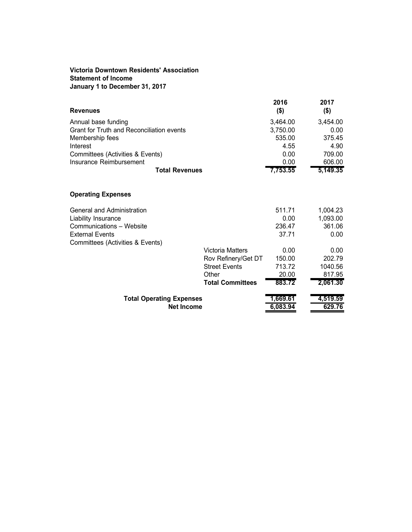#### **Victoria Downtown Residents' Association Statement of Income January 1 to December 31, 2017**

| <b>Revenues</b>                                      |                         | 2016<br>$($ \$)      | 2017<br>$($ \$)    |
|------------------------------------------------------|-------------------------|----------------------|--------------------|
| Annual base funding                                  |                         | 3,464.00             | 3,454.00           |
| Grant for Truth and Reconciliation events            |                         | 3,750.00             | 0.00               |
| Membership fees                                      |                         | 535.00               | 375.45             |
| Interest                                             |                         | 4.55                 | 4.90               |
| Committees (Activities & Events)                     |                         | 0.00                 | 709.00             |
| Insurance Reimbursement                              |                         | 0.00                 | 606.00             |
| <b>Total Revenues</b>                                |                         | 7,753.55             | 5,149.35           |
| <b>Operating Expenses</b>                            |                         |                      |                    |
| General and Administration                           |                         | 511.71               | 1,004.23           |
| Liability Insurance                                  |                         | 0.00                 | 1,093.00           |
| Communications - Website                             |                         | 236.47               | 361.06             |
| <b>External Events</b>                               |                         | 37.71                | 0.00               |
| Committees (Activities & Events)                     |                         |                      |                    |
|                                                      | <b>Victoria Matters</b> | 0.00                 | 0.00               |
|                                                      | Rov Refinery/Get DT     | 150.00               | 202.79             |
|                                                      | <b>Street Events</b>    | 713.72               | 1040.56            |
|                                                      | Other                   | 20.00                | 817.95             |
|                                                      | <b>Total Committees</b> | 883.72               | 2,061.30           |
| <b>Total Operating Expenses</b><br><b>Net Income</b> |                         | 1,669.61<br>6,083.94 | 4,519.59<br>629.76 |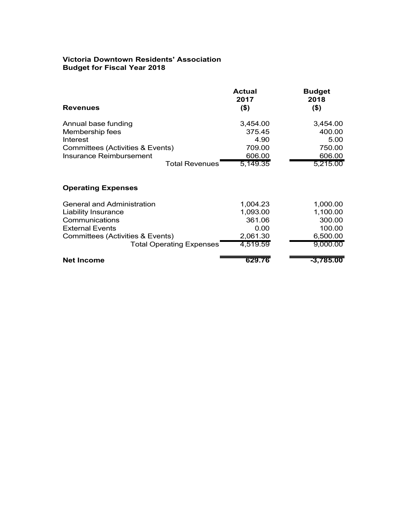#### **Victoria Downtown Residents' Association Budget for Fiscal Year 2018**

|                                   | <b>Actual</b><br>2017 | <b>Budget</b><br>2018 |
|-----------------------------------|-----------------------|-----------------------|
| <b>Revenues</b>                   | $($ \$)               | $($ \$)               |
| Annual base funding               | 3,454.00              | 3,454.00              |
| Membership fees                   | 375.45                | 400.00                |
| Interest                          | 4.90                  | 5.00                  |
| Committees (Activities & Events)  | 709.00                | 750.00                |
| Insurance Reimbursement           | 606.00                | 606.00                |
| <b>Total Revenues</b>             | 5,149.35              | 5,215.00              |
| <b>Operating Expenses</b>         |                       |                       |
| <b>General and Administration</b> | 1,004.23              | 1,000.00              |
| <b>Liability Insurance</b>        | 1,093.00              | 1,100.00              |
| Communications                    | 361.06                | 300.00                |
| <b>External Events</b>            | 0.00                  | 100.00                |
| Committees (Activities & Events)  | 2,061.30              | 6,500.00              |
| <b>Total Operating Expenses</b>   | 4,519.59              | 9,000.00              |
| <b>Net Income</b>                 | 629.76                | $-3,785.00$           |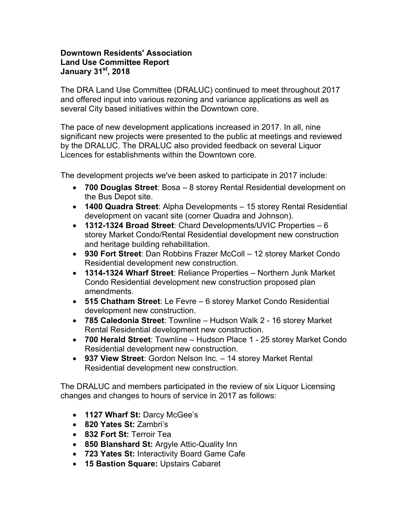#### **Downtown Residents' Association Land Use Committee Report January 31st, 2018**

The DRA Land Use Committee (DRALUC) continued to meet throughout 2017 and offered input into various rezoning and variance applications as well as several City based initiatives within the Downtown core.

The pace of new development applications increased in 2017. In all, nine significant new projects were presented to the public at meetings and reviewed by the DRALUC. The DRALUC also provided feedback on several Liquor Licences for establishments within the Downtown core.

The development projects we've been asked to participate in 2017 include:

- x **700 Douglas Street**: Bosa 8 storey Rental Residential development on the Bus Depot site.
- x **1400 Quadra Street**: Alpha Developments 15 storey Rental Residential development on vacant site (corner Quadra and Johnson).
- x **1312-1324 Broad Street**: Chard Developments/UVIC Properties 6 storey Market Condo/Rental Residential development new construction and heritage building rehabilitation.
- x **930 Fort Street**: Dan Robbins Frazer McColl 12 storey Market Condo Residential development new construction.
- x **1314-1324 Wharf Street**: Reliance Properties Northern Junk Market Condo Residential development new construction proposed plan amendments.
- x **515 Chatham Street**: Le Fevre 6 storey Market Condo Residential development new construction.
- x **785 Caledonia Street**: Townline Hudson Walk 2 16 storey Market Rental Residential development new construction.
- x **700 Herald Street**: Townline Hudson Place 1 25 storey Market Condo Residential development new construction.
- x **937 View Street**: Gordon Nelson Inc. 14 storey Market Rental Residential development new construction.

The DRALUC and members participated in the review of six Liquor Licensing changes and changes to hours of service in 2017 as follows:

- **1127 Wharf St: Darcy McGee's**
- x **820 Yates St:** Zambri's
- x **832 Fort St:** Terroir Tea
- 850 Blanshard St: Argyle Attic-Quality Inn
- x **723 Yates St:** Interactivity Board Game Cafe
- x **15 Bastion Square:** Upstairs Cabaret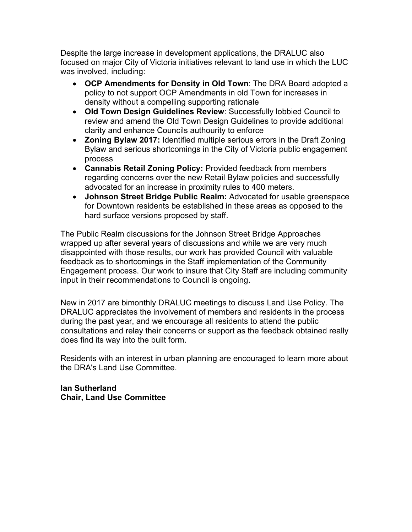Despite the large increase in development applications, the DRALUC also focused on major City of Victoria initiatives relevant to land use in which the LUC was involved, including:

- **OCP Amendments for Density in Old Town:** The DRA Board adopted a policy to not support OCP Amendments in old Town for increases in density without a compelling supporting rationale
- **Old Town Design Guidelines Review: Successfully lobbied Council to** review and amend the Old Town Design Guidelines to provide additional clarity and enhance Councils authourity to enforce
- **Zoning Bylaw 2017:** Identified multiple serious errors in the Draft Zoning Bylaw and serious shortcomings in the City of Victoria public engagement process
- **Cannabis Retail Zoning Policy: Provided feedback from members** regarding concerns over the new Retail Bylaw policies and successfully advocated for an increase in proximity rules to 400 meters.
- Johnson Street Bridge Public Realm: Advocated for usable greenspace for Downtown residents be established in these areas as opposed to the hard surface versions proposed by staff.

The Public Realm discussions for the Johnson Street Bridge Approaches wrapped up after several years of discussions and while we are very much disappointed with those results, our work has provided Council with valuable feedback as to shortcomings in the Staff implementation of the Community Engagement process. Our work to insure that City Staff are including community input in their recommendations to Council is ongoing.

New in 2017 are bimonthly DRALUC meetings to discuss Land Use Policy. The DRALUC appreciates the involvement of members and residents in the process during the past year, and we encourage all residents to attend the public consultations and relay their concerns or support as the feedback obtained really does find its way into the built form.

Residents with an interest in urban planning are encouraged to learn more about the DRA's Land Use Committee.

**Ian Sutherland Chair, Land Use Committee**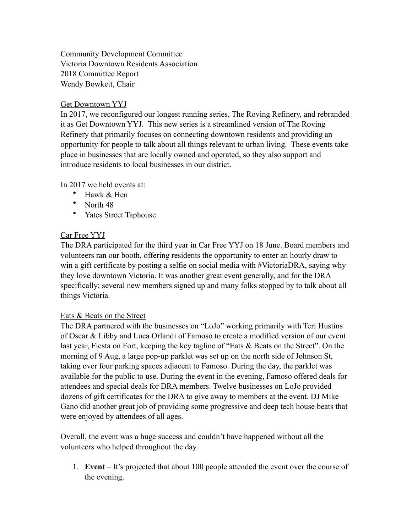Community Development Committee Victoria Downtown Residents Association 2018 Committee Report Wendy Bowkett, Chair

#### Get Downtown YYJ

In 2017, we reconfigured our longest running series, The Roving Refinery, and rebranded it as Get Downtown YYJ. This new series is a streamlined version of The Roving Refinery that primarily focuses on connecting downtown residents and providing an opportunity for people to talk about all things relevant to urban living. These events take place in businesses that are locally owned and operated, so they also support and introduce residents to local businesses in our district.

In 2017 we held events at:

- Hawk & Hen
- North 48
- Yates Street Taphouse

#### Car Free YYJ

The DRA participated for the third year in Car Free YYJ on 18 June. Board members and volunteers ran our booth, offering residents the opportunity to enter an hourly draw to win a gift certificate by posting a selfie on social media with #VictoriaDRA, saying why they love downtown Victoria. It was another great event generally, and for the DRA specifically; several new members signed up and many folks stopped by to talk about all things Victoria.

#### Eats & Beats on the Street

The DRA partnered with the businesses on "LoJo" working primarily with Teri Hustins of Oscar & Libby and Luca Orlandi of Famoso to create a modified version of our event last year, Fiesta on Fort, keeping the key tagline of "Eats & Beats on the Street". On the morning of 9 Aug, a large pop-up parklet was set up on the north side of Johnson St, taking over four parking spaces adjacent to Famoso. During the day, the parklet was available for the public to use. During the event in the evening, Famoso offered deals for attendees and special deals for DRA members. Twelve businesses on LoJo provided dozens of gift certificates for the DRA to give away to members at the event. DJ Mike Gano did another great job of providing some progressive and deep tech house beats that were enjoyed by attendees of all ages.

Overall, the event was a huge success and couldn't have happened without all the volunteers who helped throughout the day.

1. **Event** – It's projected that about 100 people attended the event over the course of the evening.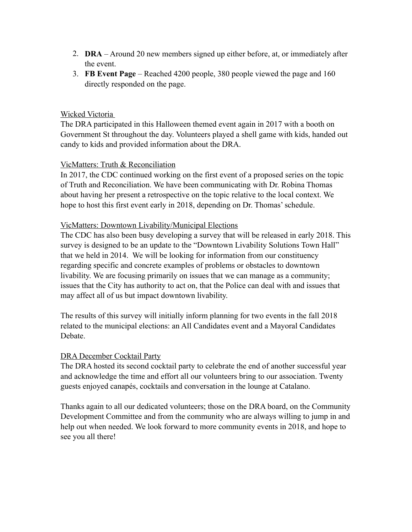- 2. **DRA** Around 20 new members signed up either before, at, or immediately after the event.
- 3. **FB Event Page**  Reached 4200 people, 380 people viewed the page and 160 directly responded on the page.

#### Wicked Victoria

The DRA participated in this Halloween themed event again in 2017 with a booth on Government St throughout the day. Volunteers played a shell game with kids, handed out candy to kids and provided information about the DRA.

#### VicMatters: Truth & Reconciliation

In 2017, the CDC continued working on the first event of a proposed series on the topic of Truth and Reconciliation. We have been communicating with Dr. Robina Thomas about having her present a retrospective on the topic relative to the local context. We hope to host this first event early in 2018, depending on Dr. Thomas' schedule.

#### VicMatters: Downtown Livability/Municipal Elections

The CDC has also been busy developing a survey that will be released in early 2018. This survey is designed to be an update to the "Downtown Livability Solutions Town Hall" that we held in 2014. We will be looking for information from our constituency regarding specific and concrete examples of problems or obstacles to downtown livability. We are focusing primarily on issues that we can manage as a community; issues that the City has authority to act on, that the Police can deal with and issues that may affect all of us but impact downtown livability.

The results of this survey will initially inform planning for two events in the fall 2018 related to the municipal elections: an All Candidates event and a Mayoral Candidates Debate.

#### DRA December Cocktail Party

The DRA hosted its second cocktail party to celebrate the end of another successful year and acknowledge the time and effort all our volunteers bring to our association. Twenty guests enjoyed canapés, cocktails and conversation in the lounge at Catalano.

Thanks again to all our dedicated volunteers; those on the DRA board, on the Community Development Committee and from the community who are always willing to jump in and help out when needed. We look forward to more community events in 2018, and hope to see you all there!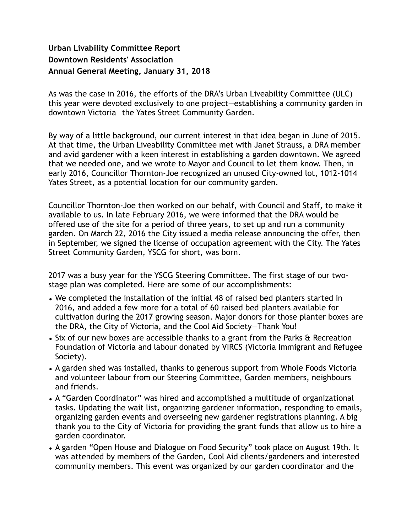## **Urban Livability Committee Report Downtown Residents' Association Annual General Meeting, January 31, 2018**

As was the case in 2016, the efforts of the DRA's Urban Liveability Committee (ULC) this year were devoted exclusively to one project—establishing a community garden in downtown Victoria—the Yates Street Community Garden.

By way of a little background, our current interest in that idea began in June of 2015. At that time, the Urban Liveability Committee met with Janet Strauss, a DRA member and avid gardener with a keen interest in establishing a garden downtown. We agreed that we needed one, and we wrote to Mayor and Council to let them know. Then, in early 2016, Councillor Thornton-Joe recognized an unused City-owned lot, 1012-1014 Yates Street, as a potential location for our community garden.

Councillor Thornton-Joe then worked on our behalf, with Council and Staff, to make it available to us. In late February 2016, we were informed that the DRA would be offered use of the site for a period of three years, to set up and run a community garden. On March 22, 2016 the City issued a media release announcing the offer, then in September, we signed the license of occupation agreement with the City. The Yates Street Community Garden, YSCG for short, was born.

2017 was a busy year for the YSCG Steering Committee. The first stage of our twostage plan was completed. Here are some of our accomplishments:

- We completed the installation of the initial 48 of raised bed planters started in 2016, and added a few more for a total of 60 raised bed planters available for cultivation during the 2017 growing season. Major donors for those planter boxes are the DRA, the City of Victoria, and the Cool Aid Society—Thank You!
- Six of our new boxes are accessible thanks to a grant from the Parks & Recreation Foundation of Victoria and labour donated by VIRCS (Victoria Immigrant and Refugee Society).
- A garden shed was installed, thanks to generous support from Whole Foods Victoria and volunteer labour from our Steering Committee, Garden members, neighbours and friends.
- A "Garden Coordinator" was hired and accomplished a multitude of organizational tasks. Updating the wait list, organizing gardener information, responding to emails, organizing garden events and overseeing new gardener registrations planning. A big thank you to the City of Victoria for providing the grant funds that allow us to hire a garden coordinator.
- A garden "Open House and Dialogue on Food Security" took place on August 19th. It was attended by members of the Garden, Cool Aid clients/gardeners and interested community members. This event was organized by our garden coordinator and the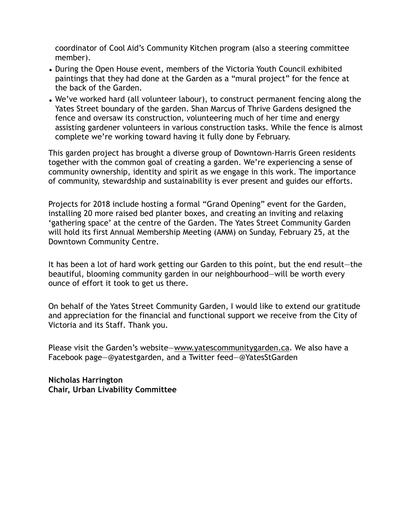coordinator of Cool Aid's Community Kitchen program (also a steering committee member).

- During the Open House event, members of the Victoria Youth Council exhibited paintings that they had done at the Garden as a "mural project" for the fence at the back of the Garden.
- We've worked hard (all volunteer labour), to construct permanent fencing along the Yates Street boundary of the garden. Shan Marcus of Thrive Gardens designed the fence and oversaw its construction, volunteering much of her time and energy assisting gardener volunteers in various construction tasks. While the fence is almost complete we're working toward having it fully done by February.

This garden project has brought a diverse group of Downtown-Harris Green residents together with the common goal of creating a garden. We're experiencing a sense of community ownership, identity and spirit as we engage in this work. The importance of community, stewardship and sustainability is ever present and guides our efforts.

Projects for 2018 include hosting a formal "Grand Opening" event for the Garden, installing 20 more raised bed planter boxes, and creating an inviting and relaxing 'gathering space' at the centre of the Garden. The Yates Street Community Garden will hold its first Annual Membership Meeting (AMM) on Sunday, February 25, at the Downtown Community Centre.

It has been a lot of hard work getting our Garden to this point, but the end result—the beautiful, blooming community garden in our neighbourhood—will be worth every ounce of effort it took to get us there.

On behalf of the Yates Street Community Garden, I would like to extend our gratitude and appreciation for the financial and functional support we receive from the City of Victoria and its Staff. Thank you.

Please visit the Garden's website—www.yatescommunitygarden.ca. We also have a Facebook page—@yatestgarden, and a Twitter feed—@YatesStGarden

**Nicholas Harrington Chair, Urban Livability Committee**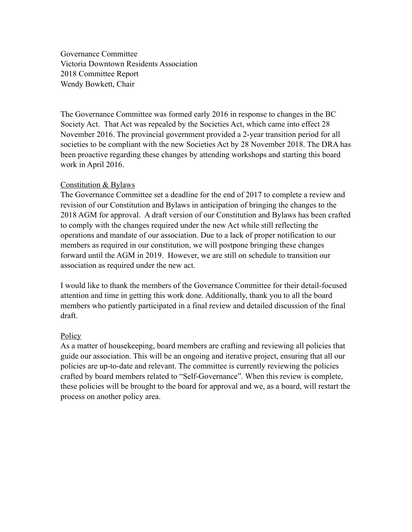Governance Committee Victoria Downtown Residents Association 2018 Committee Report Wendy Bowkett, Chair

The Governance Committee was formed early 2016 in response to changes in the BC Society Act. That Act was repealed by the Societies Act, which came into effect 28 November 2016. The provincial government provided a 2-year transition period for all societies to be compliant with the new Societies Act by 28 November 2018. The DRA has been proactive regarding these changes by attending workshops and starting this board work in April 2016.

#### Constitution & Bylaws

The Governance Committee set a deadline for the end of 2017 to complete a review and revision of our Constitution and Bylaws in anticipation of bringing the changes to the 2018 AGM for approval. A draft version of our Constitution and Bylaws has been crafted to comply with the changes required under the new Act while still reflecting the operations and mandate of our association. Due to a lack of proper notification to our members as required in our constitution, we will postpone bringing these changes forward until the AGM in 2019. However, we are still on schedule to transition our association as required under the new act.

I would like to thank the members of the Governance Committee for their detail-focused attention and time in getting this work done. Additionally, thank you to all the board members who patiently participated in a final review and detailed discussion of the final draft.

#### **Policy**

As a matter of housekeeping, board members are crafting and reviewing all policies that guide our association. This will be an ongoing and iterative project, ensuring that all our policies are up-to-date and relevant. The committee is currently reviewing the policies crafted by board members related to "Self-Governance". When this review is complete, these policies will be brought to the board for approval and we, as a board, will restart the process on another policy area.